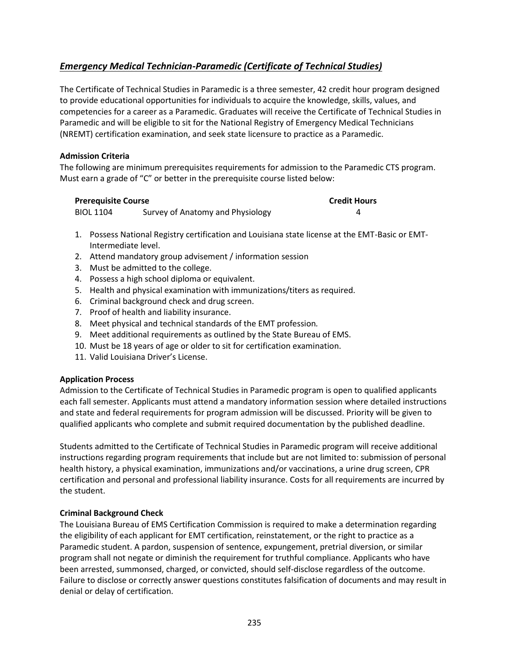# <span id="page-0-0"></span>*Emergency Medical Technician[-Paramedic \(Certificate of Technical Studies\)](#page-0-0)*

The Certificate of Technical Studies in Paramedic is a three semester, 42 credit hour program designed to provide educational opportunities for individuals to acquire the knowledge, skills, values, and competencies for a career as a Paramedic. Graduates will receive the Certificate of Technical Studies in Paramedic and will be eligible to sit for the National Registry of Emergency Medical Technicians (NREMT) certification examination, and seek state licensure to practice as a Paramedic.

## **Admission Criteria**

The following are minimum prerequisites requirements for admission to the Paramedic CTS program. Must earn a grade of "C" or better in the prerequisite course listed below:

| <b>Prerequisite Course</b> |                                  | <b>Credit Hours</b> |
|----------------------------|----------------------------------|---------------------|
| BIOL 1104                  | Survey of Anatomy and Physiology |                     |

- 1. Possess National Registry certification and Louisiana state license at the EMT-Basic or EMT-Intermediate level.
- 2. Attend mandatory group advisement / information session
- 3. Must be admitted to the college.
- 4. Possess a high school diploma or equivalent.
- 5. Health and physical examination with immunizations/titers as required.
- 6. Criminal background check and drug screen.
- 7. Proof of health and liability insurance.
- 8. Meet physical and technical standards of the EMT profession*.*
- 9. Meet additional requirements as outlined by the State Bureau of EMS.
- 10. Must be 18 years of age or older to sit for certification examination.
- 11. Valid Louisiana Driver's License.

### **Application Process**

Admission to the Certificate of Technical Studies in Paramedic program is open to qualified applicants each fall semester. Applicants must attend a mandatory information session where detailed instructions and state and federal requirements for program admission will be discussed. Priority will be given to qualified applicants who complete and submit required documentation by the published deadline.

Students admitted to the Certificate of Technical Studies in Paramedic program will receive additional instructions regarding program requirements that include but are not limited to: submission of personal health history, a physical examination, immunizations and/or vaccinations, a urine drug screen, CPR certification and personal and professional liability insurance. Costs for all requirements are incurred by the student.

### **Criminal Background Check**

The Louisiana Bureau of EMS Certification Commission is required to make a determination regarding the eligibility of each applicant for EMT certification, reinstatement, or the right to practice as a Paramedic student. A pardon, suspension of sentence, expungement, pretrial diversion, or similar program shall not negate or diminish the requirement for truthful compliance. Applicants who have been arrested, summonsed, charged, or convicted, should self-disclose regardless of the outcome. Failure to disclose or correctly answer questions constitutes falsification of documents and may result in denial or delay of certification.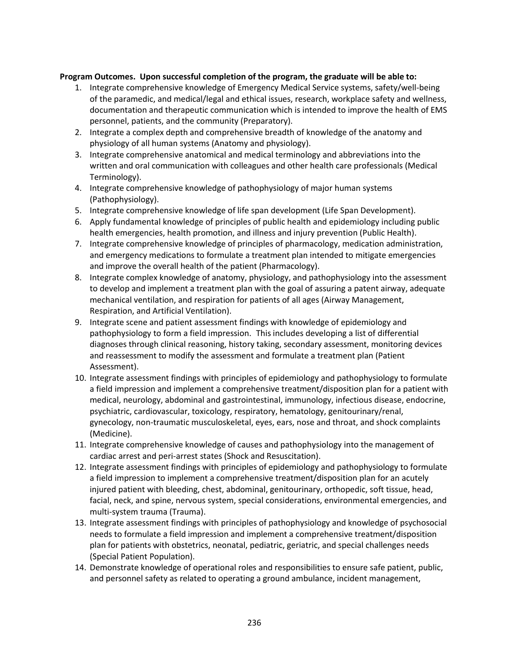## **Program Outcomes. Upon successful completion of the program, the graduate will be able to:**

- 1. Integrate comprehensive knowledge of Emergency Medical Service systems, safety/well-being of the paramedic, and medical/legal and ethical issues, research, workplace safety and wellness, documentation and therapeutic communication which is intended to improve the health of EMS personnel, patients, and the community (Preparatory).
- 2. Integrate a complex depth and comprehensive breadth of knowledge of the anatomy and physiology of all human systems (Anatomy and physiology).
- 3. Integrate comprehensive anatomical and medical terminology and abbreviations into the written and oral communication with colleagues and other health care professionals (Medical Terminology).
- 4. Integrate comprehensive knowledge of pathophysiology of major human systems (Pathophysiology).
- 5. Integrate comprehensive knowledge of life span development (Life Span Development).
- 6. Apply fundamental knowledge of principles of public health and epidemiology including public health emergencies, health promotion, and illness and injury prevention (Public Health).
- 7. Integrate comprehensive knowledge of principles of pharmacology, medication administration, and emergency medications to formulate a treatment plan intended to mitigate emergencies and improve the overall health of the patient (Pharmacology).
- 8. Integrate complex knowledge of anatomy, physiology, and pathophysiology into the assessment to develop and implement a treatment plan with the goal of assuring a patent airway, adequate mechanical ventilation, and respiration for patients of all ages (Airway Management, Respiration, and Artificial Ventilation).
- 9. Integrate scene and patient assessment findings with knowledge of epidemiology and pathophysiology to form a field impression. This includes developing a list of differential diagnoses through clinical reasoning, history taking, secondary assessment, monitoring devices and reassessment to modify the assessment and formulate a treatment plan (Patient Assessment).
- 10. Integrate assessment findings with principles of epidemiology and pathophysiology to formulate a field impression and implement a comprehensive treatment/disposition plan for a patient with medical, neurology, abdominal and gastrointestinal, immunology, infectious disease, endocrine, psychiatric, cardiovascular, toxicology, respiratory, hematology, genitourinary/renal, gynecology, non-traumatic musculoskeletal, eyes, ears, nose and throat, and shock complaints (Medicine).
- 11. Integrate comprehensive knowledge of causes and pathophysiology into the management of cardiac arrest and peri-arrest states (Shock and Resuscitation).
- 12. Integrate assessment findings with principles of epidemiology and pathophysiology to formulate a field impression to implement a comprehensive treatment/disposition plan for an acutely injured patient with bleeding, chest, abdominal, genitourinary, orthopedic, soft tissue, head, facial, neck, and spine, nervous system, special considerations, environmental emergencies, and multi-system trauma (Trauma).
- 13. Integrate assessment findings with principles of pathophysiology and knowledge of psychosocial needs to formulate a field impression and implement a comprehensive treatment/disposition plan for patients with obstetrics, neonatal, pediatric, geriatric, and special challenges needs (Special Patient Population).
- 14. Demonstrate knowledge of operational roles and responsibilities to ensure safe patient, public, and personnel safety as related to operating a ground ambulance, incident management,